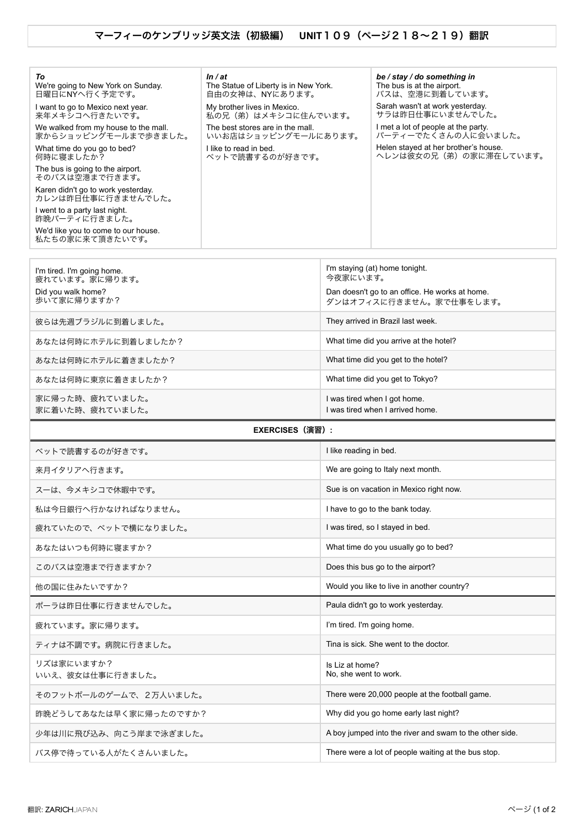| To<br>We're going to New York on Sunday.<br>日曜日にNYへ行く予定です。<br>I want to go to Mexico next year.<br>来年メキシコへ行きたいです。<br>We walked from my house to the mall.<br>家からショッピングモールまで歩きました。<br>What time do you go to bed?<br>何時に寝ましたか?<br>The bus is going to the airport.<br>そのバスは空港まで行きます。<br>Karen didn't go to work yesterday.<br>カレンは昨日仕事に行きませんでした。<br>I went to a party last night.<br>昨晩パーティに行きました。<br>We'd like you to come to our house.<br>私たちの家に来て頂きたいです。 | ln / at<br>The Statue of Liberty is in New York.<br>自由の女神は、NYにあります。<br>My brother lives in Mexico.<br>私の兄(弟)はメキシコに住んでいます。<br>The best stores are in the mall.<br>いいお店はショッピングモールにあります。<br>I like to read in bed.<br>ベットで読書するのが好きです。 |                                                                                                                         | be / stay / do something in<br>The bus is at the airport.<br>バスは、空港に到着しています。<br>Sarah wasn't at work yesterday.<br>サラは昨日仕事にいませんでした。<br>I met a lot of people at the party.<br>パーティーでたくさんの人に会いました。<br>Helen stayed at her brother's house.<br>ヘレンは彼女の兄(弟)の家に滞在しています。 |  |
|-------------------------------------------------------------------------------------------------------------------------------------------------------------------------------------------------------------------------------------------------------------------------------------------------------------------------------------------------------------------------------------------------------------------------------------------------------------|------------------------------------------------------------------------------------------------------------------------------------------------------------------------------------------------------------------------------------|-------------------------------------------------------------------------------------------------------------------------|---------------------------------------------------------------------------------------------------------------------------------------------------------------------------------------------------------------------------------------------------------------------|--|
|                                                                                                                                                                                                                                                                                                                                                                                                                                                             |                                                                                                                                                                                                                                    |                                                                                                                         |                                                                                                                                                                                                                                                                     |  |
| I'm tired. I'm going home.<br>疲れています。家に帰ります。<br>Did you walk home?<br>歩いて家に帰りますか?                                                                                                                                                                                                                                                                                                                                                                           |                                                                                                                                                                                                                                    | I'm staying (at) home tonight.<br>今夜家にいます。<br>Dan doesn't go to an office. He works at home.<br>ダンはオフィスに行きません。家で仕事をします。 |                                                                                                                                                                                                                                                                     |  |
| 彼らは先週ブラジルに到着しました。                                                                                                                                                                                                                                                                                                                                                                                                                                           |                                                                                                                                                                                                                                    | They arrived in Brazil last week.                                                                                       |                                                                                                                                                                                                                                                                     |  |
| あなたは何時にホテルに到着しましたか?                                                                                                                                                                                                                                                                                                                                                                                                                                         |                                                                                                                                                                                                                                    | What time did you arrive at the hotel?                                                                                  |                                                                                                                                                                                                                                                                     |  |
| あなたは何時にホテルに着きましたか?                                                                                                                                                                                                                                                                                                                                                                                                                                          |                                                                                                                                                                                                                                    | What time did you get to the hotel?                                                                                     |                                                                                                                                                                                                                                                                     |  |
| あなたは何時に東京に着きましたか?                                                                                                                                                                                                                                                                                                                                                                                                                                           |                                                                                                                                                                                                                                    | What time did you get to Tokyo?                                                                                         |                                                                                                                                                                                                                                                                     |  |
| 家に帰った時、疲れていました。<br>家に着いた時、疲れていました。                                                                                                                                                                                                                                                                                                                                                                                                                          |                                                                                                                                                                                                                                    | I was tired when I got home.<br>I was tired when I arrived home.                                                        |                                                                                                                                                                                                                                                                     |  |
| <b>EXERCISES (演習):</b>                                                                                                                                                                                                                                                                                                                                                                                                                                      |                                                                                                                                                                                                                                    |                                                                                                                         |                                                                                                                                                                                                                                                                     |  |
| ベットで読書するのが好きです。                                                                                                                                                                                                                                                                                                                                                                                                                                             |                                                                                                                                                                                                                                    | I like reading in bed.                                                                                                  |                                                                                                                                                                                                                                                                     |  |
| 来月イタリアへ行きます。                                                                                                                                                                                                                                                                                                                                                                                                                                                |                                                                                                                                                                                                                                    | We are going to Italy next month.                                                                                       |                                                                                                                                                                                                                                                                     |  |
| スーは、今メキシコで休暇中です。                                                                                                                                                                                                                                                                                                                                                                                                                                            |                                                                                                                                                                                                                                    | Sue is on vacation in Mexico right now.                                                                                 |                                                                                                                                                                                                                                                                     |  |
| 私は今日銀行へ行かなければなりません。                                                                                                                                                                                                                                                                                                                                                                                                                                         |                                                                                                                                                                                                                                    | I have to go to the bank today.                                                                                         |                                                                                                                                                                                                                                                                     |  |
| 疲れていたので、ベットで横になりました。                                                                                                                                                                                                                                                                                                                                                                                                                                        |                                                                                                                                                                                                                                    | I was tired, so I stayed in bed.                                                                                        |                                                                                                                                                                                                                                                                     |  |
| あなたはいつも何時に寝ますか?                                                                                                                                                                                                                                                                                                                                                                                                                                             |                                                                                                                                                                                                                                    | What time do you usually go to bed?                                                                                     |                                                                                                                                                                                                                                                                     |  |
| このバスは空港まで行きますか?                                                                                                                                                                                                                                                                                                                                                                                                                                             |                                                                                                                                                                                                                                    | Does this bus go to the airport?                                                                                        |                                                                                                                                                                                                                                                                     |  |
| 他の国に住みたいですか?                                                                                                                                                                                                                                                                                                                                                                                                                                                |                                                                                                                                                                                                                                    | Would you like to live in another country?                                                                              |                                                                                                                                                                                                                                                                     |  |
| ポーラは昨日仕事に行きませんでした。                                                                                                                                                                                                                                                                                                                                                                                                                                          |                                                                                                                                                                                                                                    | Paula didn't go to work yesterday.                                                                                      |                                                                                                                                                                                                                                                                     |  |
| 疲れています。家に帰ります。                                                                                                                                                                                                                                                                                                                                                                                                                                              |                                                                                                                                                                                                                                    | I'm tired. I'm going home.                                                                                              |                                                                                                                                                                                                                                                                     |  |
| ティナは不調です。病院に行きました。                                                                                                                                                                                                                                                                                                                                                                                                                                          |                                                                                                                                                                                                                                    | Tina is sick. She went to the doctor.                                                                                   |                                                                                                                                                                                                                                                                     |  |
| リズは家にいますか?<br>いいえ、彼女は仕事に行きました。                                                                                                                                                                                                                                                                                                                                                                                                                              |                                                                                                                                                                                                                                    | Is Liz at home?<br>No, she went to work.                                                                                |                                                                                                                                                                                                                                                                     |  |
| そのフットボールのゲームで、2万人いました。                                                                                                                                                                                                                                                                                                                                                                                                                                      |                                                                                                                                                                                                                                    | There were 20,000 people at the football game.                                                                          |                                                                                                                                                                                                                                                                     |  |

昨晩どうしてあなたは早く家に帰ったのですか? Why did you go home early last night?

少年は川に飛び込み、向こう岸まで泳ぎました。 A boy jumped into the river and swam to the other side.

バス停で待っている人がたくさんいました。 <br>
There were a lot of people waiting at the bus stop.